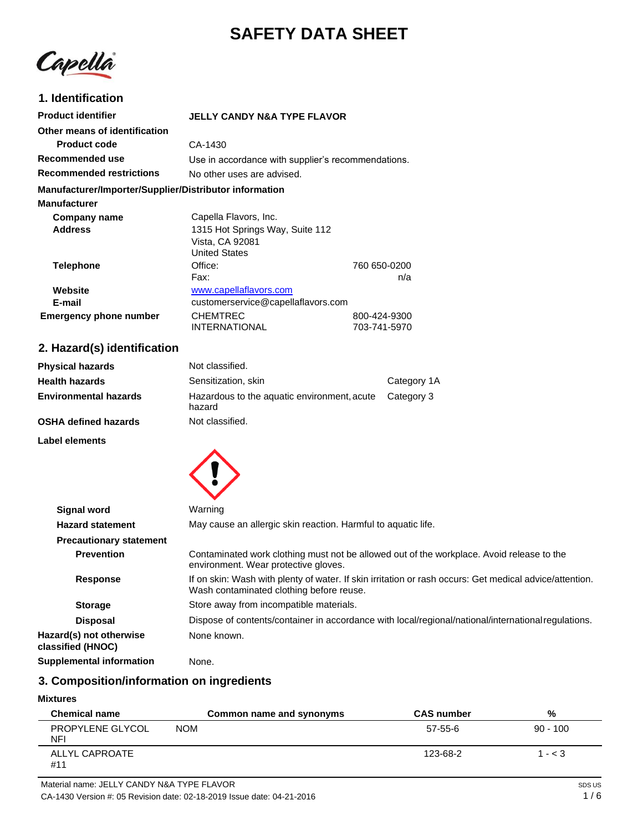# **SAFETY DATA SHEET**

Capella

### **1. Identification**

| <b>Product identifier</b>                              | <b>JELLY CANDY N&amp;A TYPE FLAVOR</b>             |              |
|--------------------------------------------------------|----------------------------------------------------|--------------|
| Other means of identification                          |                                                    |              |
| Product code                                           | CA-1430                                            |              |
| Recommended use                                        | Use in accordance with supplier's recommendations. |              |
| <b>Recommended restrictions</b>                        | No other uses are advised.                         |              |
| Manufacturer/Importer/Supplier/Distributor information |                                                    |              |
| <b>Manufacturer</b>                                    |                                                    |              |
| Company name                                           | Capella Flavors, Inc.                              |              |
| <b>Address</b>                                         | 1315 Hot Springs Way, Suite 112                    |              |
|                                                        | Vista, CA 92081                                    |              |
|                                                        | <b>United States</b>                               |              |
| Telephone                                              | Office:                                            | 760 650-0200 |
|                                                        | Fax:                                               | n/a          |
| Website                                                | www.capellaflavors.com                             |              |
| E-mail                                                 | customerservice@capellaflavors.com                 |              |
| Emergency phone number                                 | <b>CHEMTREC</b>                                    | 800-424-9300 |
|                                                        | <b>INTERNATIONAL</b>                               | 703-741-5970 |

### **2. Hazard(s) identification**

| <b>Physical hazards</b>      | Not classified.                                       |             |
|------------------------------|-------------------------------------------------------|-------------|
| Health hazards               | Sensitization, skin                                   | Category 1A |
| <b>Environmental hazards</b> | Hazardous to the aquatic environment, acute<br>hazard | Category 3  |
| OSHA defined hazards         | Not classified.                                       |             |

**Label elements**



| Signal word                                  | Warning                                                                                                                                             |
|----------------------------------------------|-----------------------------------------------------------------------------------------------------------------------------------------------------|
| <b>Hazard statement</b>                      | May cause an allergic skin reaction. Harmful to aquatic life.                                                                                       |
| <b>Precautionary statement</b>               |                                                                                                                                                     |
| <b>Prevention</b>                            | Contaminated work clothing must not be allowed out of the workplace. Avoid release to the<br>environment. Wear protective gloves.                   |
| <b>Response</b>                              | If on skin: Wash with plenty of water. If skin irritation or rash occurs: Get medical advice/attention.<br>Wash contaminated clothing before reuse. |
| <b>Storage</b>                               | Store away from incompatible materials.                                                                                                             |
| <b>Disposal</b>                              | Dispose of contents/container in accordance with local/regional/national/international regulations.                                                 |
| Hazard(s) not otherwise<br>classified (HNOC) | None known.                                                                                                                                         |
| Supplemental information                     | None.                                                                                                                                               |

### **3. Composition/information on ingredients**

#### **Mixtures**

| <b>Chemical name</b>    | Common name and synonyms | <b>CAS number</b> | %          |
|-------------------------|--------------------------|-------------------|------------|
| PROPYLENE GLYCOL<br>NFI | <b>NOM</b>               | 57-55-6           | $90 - 100$ |
| ALLYL CAPROATE<br>#11   |                          | 123-68-2          | $1 - < 3$  |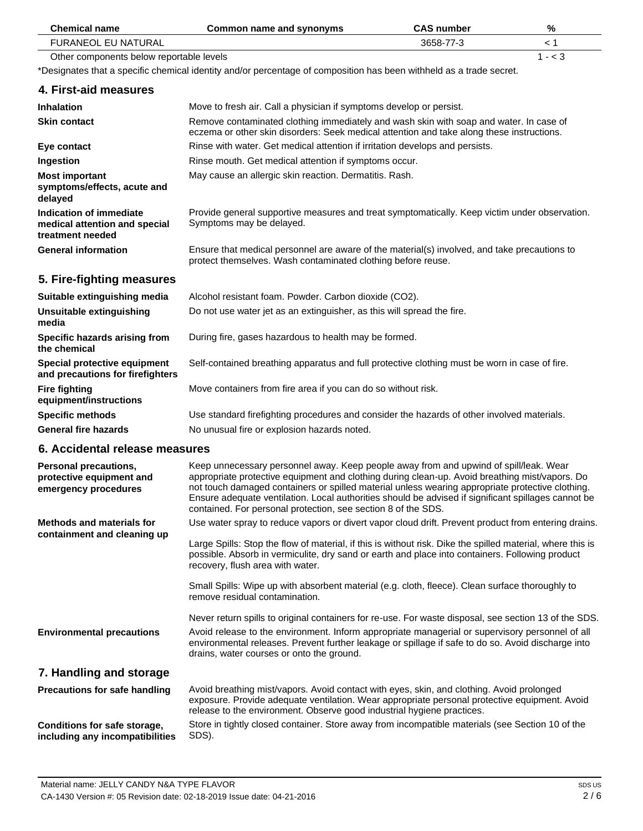| <b>Chemical name</b>                                                         | <b>Common name and synonyms</b>                                                                                                                                                                                                                                                                                                                                                                                                                                     | <b>CAS number</b> | %         |
|------------------------------------------------------------------------------|---------------------------------------------------------------------------------------------------------------------------------------------------------------------------------------------------------------------------------------------------------------------------------------------------------------------------------------------------------------------------------------------------------------------------------------------------------------------|-------------------|-----------|
| <b>FURANEOL EU NATURAL</b>                                                   |                                                                                                                                                                                                                                                                                                                                                                                                                                                                     | 3658-77-3         | < 1       |
| Other components below reportable levels                                     |                                                                                                                                                                                                                                                                                                                                                                                                                                                                     |                   | $1 - < 3$ |
|                                                                              | *Designates that a specific chemical identity and/or percentage of composition has been withheld as a trade secret.                                                                                                                                                                                                                                                                                                                                                 |                   |           |
| 4. First-aid measures                                                        |                                                                                                                                                                                                                                                                                                                                                                                                                                                                     |                   |           |
| <b>Inhalation</b>                                                            | Move to fresh air. Call a physician if symptoms develop or persist.                                                                                                                                                                                                                                                                                                                                                                                                 |                   |           |
| <b>Skin contact</b>                                                          | Remove contaminated clothing immediately and wash skin with soap and water. In case of<br>eczema or other skin disorders: Seek medical attention and take along these instructions.                                                                                                                                                                                                                                                                                 |                   |           |
| Eye contact                                                                  | Rinse with water. Get medical attention if irritation develops and persists.                                                                                                                                                                                                                                                                                                                                                                                        |                   |           |
| Ingestion                                                                    | Rinse mouth. Get medical attention if symptoms occur.                                                                                                                                                                                                                                                                                                                                                                                                               |                   |           |
| <b>Most important</b><br>symptoms/effects, acute and<br>delayed              | May cause an allergic skin reaction. Dermatitis. Rash.                                                                                                                                                                                                                                                                                                                                                                                                              |                   |           |
| Indication of immediate<br>medical attention and special<br>treatment needed | Provide general supportive measures and treat symptomatically. Keep victim under observation.<br>Symptoms may be delayed.                                                                                                                                                                                                                                                                                                                                           |                   |           |
| <b>General information</b>                                                   | Ensure that medical personnel are aware of the material(s) involved, and take precautions to<br>protect themselves. Wash contaminated clothing before reuse.                                                                                                                                                                                                                                                                                                        |                   |           |
| 5. Fire-fighting measures                                                    |                                                                                                                                                                                                                                                                                                                                                                                                                                                                     |                   |           |
| Suitable extinguishing media                                                 | Alcohol resistant foam. Powder. Carbon dioxide (CO2).                                                                                                                                                                                                                                                                                                                                                                                                               |                   |           |
| Unsuitable extinguishing<br>media                                            | Do not use water jet as an extinguisher, as this will spread the fire.                                                                                                                                                                                                                                                                                                                                                                                              |                   |           |
| Specific hazards arising from<br>the chemical                                | During fire, gases hazardous to health may be formed.                                                                                                                                                                                                                                                                                                                                                                                                               |                   |           |
| Special protective equipment<br>and precautions for firefighters             | Self-contained breathing apparatus and full protective clothing must be worn in case of fire.                                                                                                                                                                                                                                                                                                                                                                       |                   |           |
| <b>Fire fighting</b><br>equipment/instructions                               | Move containers from fire area if you can do so without risk.                                                                                                                                                                                                                                                                                                                                                                                                       |                   |           |
| <b>Specific methods</b>                                                      | Use standard firefighting procedures and consider the hazards of other involved materials.                                                                                                                                                                                                                                                                                                                                                                          |                   |           |
| <b>General fire hazards</b>                                                  | No unusual fire or explosion hazards noted.                                                                                                                                                                                                                                                                                                                                                                                                                         |                   |           |
| 6. Accidental release measures                                               |                                                                                                                                                                                                                                                                                                                                                                                                                                                                     |                   |           |
| Personal precautions,<br>protective equipment and<br>emergency procedures    | Keep unnecessary personnel away. Keep people away from and upwind of spill/leak. Wear<br>appropriate protective equipment and clothing during clean-up. Avoid breathing mist/vapors. Do<br>not touch damaged containers or spilled material unless wearing appropriate protective clothing.<br>Ensure adequate ventilation. Local authorities should be advised if significant spillages cannot be<br>contained. For personal protection, see section 8 of the SDS. |                   |           |
| <b>Methods and materials for</b>                                             | Use water spray to reduce vapors or divert vapor cloud drift. Prevent product from entering drains.                                                                                                                                                                                                                                                                                                                                                                 |                   |           |
| containment and cleaning up                                                  | Large Spills: Stop the flow of material, if this is without risk. Dike the spilled material, where this is<br>possible. Absorb in vermiculite, dry sand or earth and place into containers. Following product<br>recovery, flush area with water.                                                                                                                                                                                                                   |                   |           |
|                                                                              | Small Spills: Wipe up with absorbent material (e.g. cloth, fleece). Clean surface thoroughly to<br>remove residual contamination.                                                                                                                                                                                                                                                                                                                                   |                   |           |
|                                                                              | Never return spills to original containers for re-use. For waste disposal, see section 13 of the SDS.                                                                                                                                                                                                                                                                                                                                                               |                   |           |
| <b>Environmental precautions</b>                                             | Avoid release to the environment. Inform appropriate managerial or supervisory personnel of all<br>environmental releases. Prevent further leakage or spillage if safe to do so. Avoid discharge into<br>drains, water courses or onto the ground.                                                                                                                                                                                                                  |                   |           |
| 7. Handling and storage                                                      |                                                                                                                                                                                                                                                                                                                                                                                                                                                                     |                   |           |
| <b>Precautions for safe handling</b>                                         | Avoid breathing mist/vapors. Avoid contact with eyes, skin, and clothing. Avoid prolonged<br>exposure. Provide adequate ventilation. Wear appropriate personal protective equipment. Avoid<br>release to the environment. Observe good industrial hygiene practices.                                                                                                                                                                                                |                   |           |
| Conditions for safe storage,<br>including any incompatibilities              | Store in tightly closed container. Store away from incompatible materials (see Section 10 of the<br>SDS).                                                                                                                                                                                                                                                                                                                                                           |                   |           |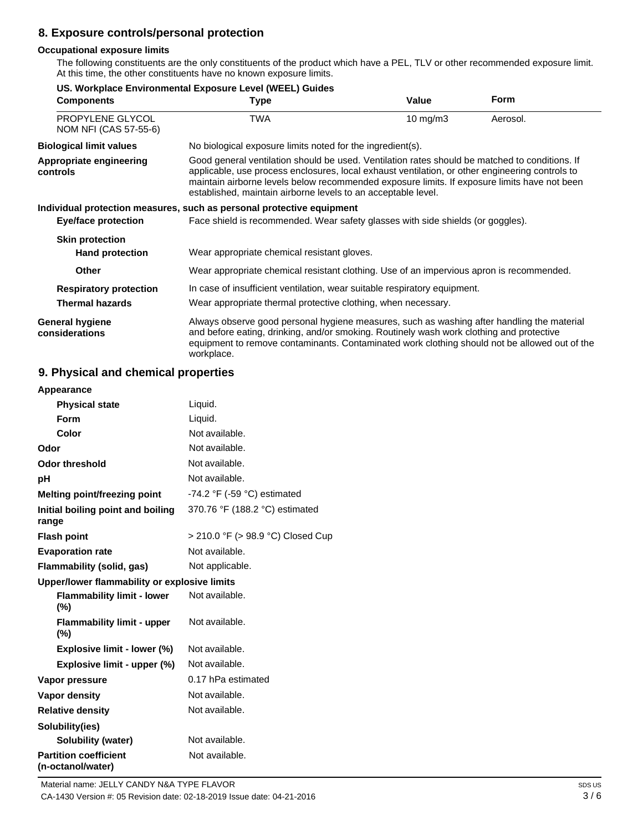### **8. Exposure controls/personal protection**

#### **Occupational exposure limits**

The following constituents are the only constituents of the product which have a PEL, TLV or other recommended exposure limit. At this time, the other constituents have no known exposure limits.

|                                                  | US. Workplace Environmental Exposure Level (WEEL) Guides                                                                                                                                                                                                                                                                                                           |                                                            |             |  |
|--------------------------------------------------|--------------------------------------------------------------------------------------------------------------------------------------------------------------------------------------------------------------------------------------------------------------------------------------------------------------------------------------------------------------------|------------------------------------------------------------|-------------|--|
| <b>Components</b>                                | <b>Type</b>                                                                                                                                                                                                                                                                                                                                                        | Value                                                      | <b>Form</b> |  |
| PROPYLENE GLYCOL<br>NOM NFI (CAS 57-55-6)        | TWA                                                                                                                                                                                                                                                                                                                                                                | $10$ mg/m $3$                                              | Aerosol.    |  |
| <b>Biological limit values</b>                   |                                                                                                                                                                                                                                                                                                                                                                    | No biological exposure limits noted for the ingredient(s). |             |  |
| Appropriate engineering<br>controls              | Good general ventilation should be used. Ventilation rates should be matched to conditions. If<br>applicable, use process enclosures, local exhaust ventilation, or other engineering controls to<br>maintain airborne levels below recommended exposure limits. If exposure limits have not been<br>established, maintain airborne levels to an acceptable level. |                                                            |             |  |
|                                                  | Individual protection measures, such as personal protective equipment                                                                                                                                                                                                                                                                                              |                                                            |             |  |
| <b>Eye/face protection</b>                       | Face shield is recommended. Wear safety glasses with side shields (or goggles).                                                                                                                                                                                                                                                                                    |                                                            |             |  |
| <b>Skin protection</b><br><b>Hand protection</b> | Wear appropriate chemical resistant gloves.                                                                                                                                                                                                                                                                                                                        |                                                            |             |  |
| <b>Other</b>                                     | Wear appropriate chemical resistant clothing. Use of an impervious apron is recommended.                                                                                                                                                                                                                                                                           |                                                            |             |  |
| <b>Respiratory protection</b>                    | In case of insufficient ventilation, wear suitable respiratory equipment.                                                                                                                                                                                                                                                                                          |                                                            |             |  |
| <b>Thermal hazards</b>                           | Wear appropriate thermal protective clothing, when necessary.                                                                                                                                                                                                                                                                                                      |                                                            |             |  |
| <b>General hygiene</b><br>considerations         | Always observe good personal hygiene measures, such as washing after handling the material<br>and before eating, drinking, and/or smoking. Routinely wash work clothing and protective<br>equipment to remove contaminants. Contaminated work clothing should not be allowed out of the<br>workplace.                                                              |                                                            |             |  |

### **9. Physical and chemical properties**

| Appearance                                        |                                   |
|---------------------------------------------------|-----------------------------------|
| <b>Physical state</b>                             | Liquid.                           |
| Form                                              | Liquid.                           |
| Color                                             | Not available.                    |
| Odor                                              | Not available.                    |
| <b>Odor threshold</b>                             | Not available.                    |
| рH                                                | Not available.                    |
| <b>Melting point/freezing point</b>               | -74.2 °F (-59 °C) estimated       |
| Initial boiling point and boiling<br>range        | 370.76 °F (188.2 °C) estimated    |
| <b>Flash point</b>                                | > 210.0 °F (> 98.9 °C) Closed Cup |
| <b>Evaporation rate</b>                           | Not available.                    |
| Flammability (solid, gas)                         | Not applicable.                   |
| Upper/lower flammability or explosive limits      |                                   |
| <b>Flammability limit - lower</b><br>$(\%)$       | Not available.                    |
| <b>Flammability limit - upper</b><br>$(\%)$       | Not available.                    |
| <b>Explosive limit - lower (%)</b>                | Not available.                    |
| Explosive limit - upper (%)                       | Not available.                    |
| Vapor pressure                                    | 0.17 hPa estimated                |
| Vapor density                                     | Not available.                    |
| <b>Relative density</b>                           | Not available.                    |
| Solubility(ies)                                   |                                   |
| <b>Solubility (water)</b>                         | Not available.                    |
| <b>Partition coefficient</b><br>(n-octanol/water) | Not available.                    |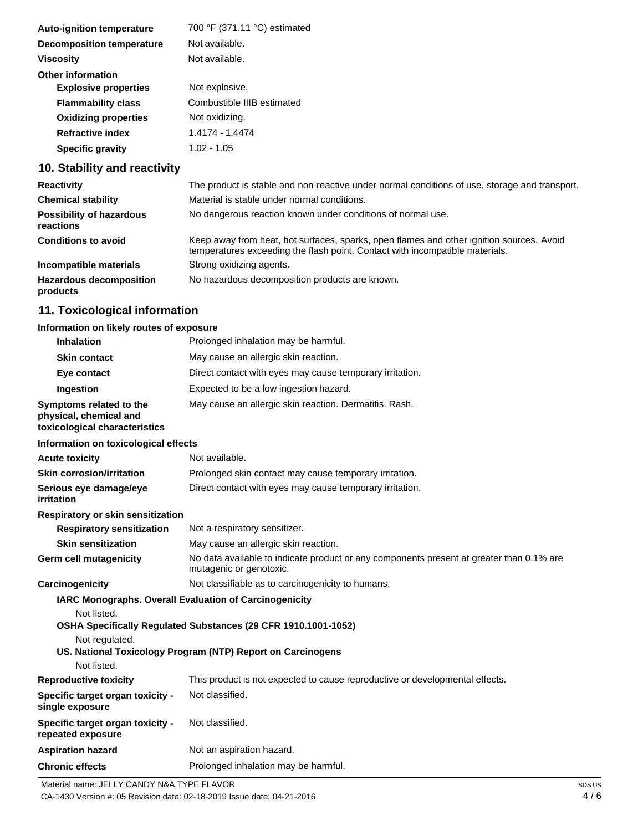| <b>Auto-ignition temperature</b> | 700 °F (371.11 °C) estimated |
|----------------------------------|------------------------------|
| <b>Decomposition temperature</b> | Not available.               |
| Viscosity                        | Not available.               |
| Other information                |                              |
| <b>Explosive properties</b>      | Not explosive.               |
| <b>Flammability class</b>        | Combustible IIIB estimated   |
| <b>Oxidizing properties</b>      | Not oxidizing.               |
| <b>Refractive index</b>          | 1.4174 - 1.4474              |
| <b>Specific gravity</b>          | 1.02 - 1.05                  |
|                                  |                              |

### **10. Stability and reactivity**

| <b>Reactivity</b>                            | The product is stable and non-reactive under normal conditions of use, storage and transport.                                                                            |
|----------------------------------------------|--------------------------------------------------------------------------------------------------------------------------------------------------------------------------|
| <b>Chemical stability</b>                    | Material is stable under normal conditions.                                                                                                                              |
| <b>Possibility of hazardous</b><br>reactions | No dangerous reaction known under conditions of normal use.                                                                                                              |
| <b>Conditions to avoid</b>                   | Keep away from heat, hot surfaces, sparks, open flames and other ignition sources. Avoid<br>temperatures exceeding the flash point. Contact with incompatible materials. |
| Incompatible materials                       | Strong oxidizing agents.                                                                                                                                                 |
| <b>Hazardous decomposition</b><br>products   | No hazardous decomposition products are known.                                                                                                                           |

## **11. Toxicological information**

### **Information on likely routes of exposure**

| Prolonged inhalation may be harmful.                                                                                |
|---------------------------------------------------------------------------------------------------------------------|
| May cause an allergic skin reaction.                                                                                |
| Direct contact with eyes may cause temporary irritation.                                                            |
| Expected to be a low ingestion hazard.                                                                              |
| May cause an allergic skin reaction. Dermatitis. Rash.                                                              |
| Information on toxicological effects                                                                                |
| Not available.                                                                                                      |
| Prolonged skin contact may cause temporary irritation.                                                              |
| Direct contact with eyes may cause temporary irritation.                                                            |
| Respiratory or skin sensitization                                                                                   |
| Not a respiratory sensitizer.                                                                                       |
| May cause an allergic skin reaction.                                                                                |
| No data available to indicate product or any components present at greater than 0.1% are<br>mutagenic or genotoxic. |
| Not classifiable as to carcinogenicity to humans.                                                                   |
| IARC Monographs. Overall Evaluation of Carcinogenicity                                                              |
| OSHA Specifically Regulated Substances (29 CFR 1910.1001-1052)                                                      |
| US. National Toxicology Program (NTP) Report on Carcinogens                                                         |
| This product is not expected to cause reproductive or developmental effects.                                        |
| Not classified.                                                                                                     |
|                                                                                                                     |
| Not classified.                                                                                                     |
| Not an aspiration hazard.                                                                                           |
| Prolonged inhalation may be harmful.                                                                                |
|                                                                                                                     |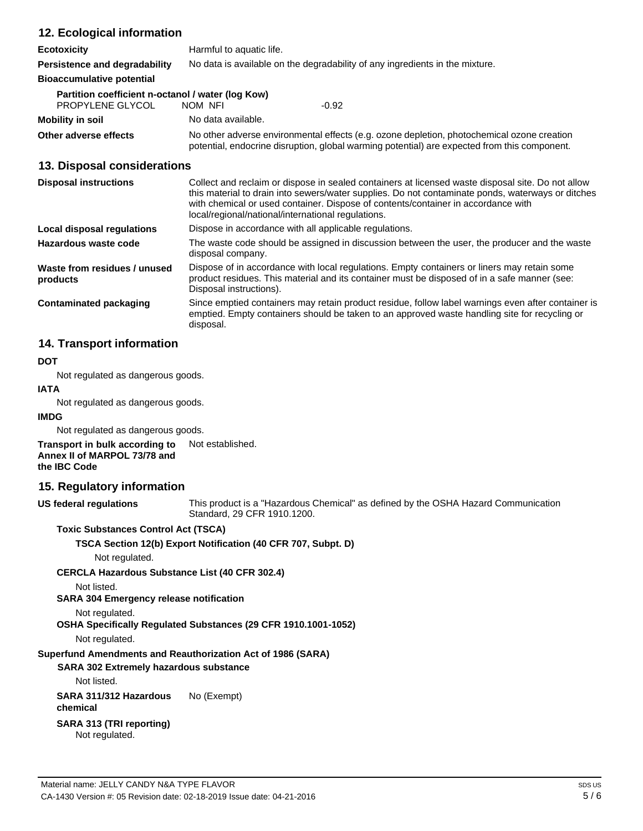### **12. Ecological information**

| <b>Ecotoxicity</b>                                                    | Harmful to aquatic life.                                                     |                                                                                                                                                                                            |
|-----------------------------------------------------------------------|------------------------------------------------------------------------------|--------------------------------------------------------------------------------------------------------------------------------------------------------------------------------------------|
| Persistence and degradability                                         | No data is available on the degradability of any ingredients in the mixture. |                                                                                                                                                                                            |
| <b>Bioaccumulative potential</b>                                      |                                                                              |                                                                                                                                                                                            |
| Partition coefficient n-octanol / water (log Kow)<br>PROPYLENE GLYCOL | NOM NFI                                                                      | $-0.92$                                                                                                                                                                                    |
| <b>Mobility in soil</b>                                               | No data available.                                                           |                                                                                                                                                                                            |
| Other adverse effects                                                 |                                                                              | No other adverse environmental effects (e.g. ozone depletion, photochemical ozone creation<br>potential, endocrine disruption, global warming potential) are expected from this component. |

#### **13. Disposal considerations**

| <b>Disposal instructions</b>             | Collect and reclaim or dispose in sealed containers at licensed waste disposal site. Do not allow<br>this material to drain into sewers/water supplies. Do not contaminate ponds, waterways or ditches<br>with chemical or used container. Dispose of contents/container in accordance with<br>local/regional/national/international regulations. |
|------------------------------------------|---------------------------------------------------------------------------------------------------------------------------------------------------------------------------------------------------------------------------------------------------------------------------------------------------------------------------------------------------|
| Local disposal regulations               | Dispose in accordance with all applicable regulations.                                                                                                                                                                                                                                                                                            |
| Hazardous waste code                     | The waste code should be assigned in discussion between the user, the producer and the waste<br>disposal company.                                                                                                                                                                                                                                 |
| Waste from residues / unused<br>products | Dispose of in accordance with local regulations. Empty containers or liners may retain some<br>product residues. This material and its container must be disposed of in a safe manner (see:<br>Disposal instructions).                                                                                                                            |
| Contaminated packaging                   | Since emptied containers may retain product residue, follow label warnings even after container is<br>emptied. Empty containers should be taken to an approved waste handling site for recycling or<br>disposal.                                                                                                                                  |

### **14. Transport information**

#### **DOT**

Not regulated as dangerous goods.

### **IATA**

Not regulated as dangerous goods.

#### **IMDG**

Not regulated as dangerous goods.

**Transport in bulk according to Annex II of MARPOL 73/78 and**  Not established.

**the IBC Code**

### **15. Regulatory information**

**US federal regulations**

This product is a "Hazardous Chemical" as defined by the OSHA Hazard Communication Standard, 29 CFR 1910.1200.

#### **Toxic Substances Control Act (TSCA)**

**TSCA Section 12(b) Export Notification (40 CFR 707, Subpt. D)**

Not regulated.

#### **CERCLA Hazardous Substance List (40 CFR 302.4)**

Not listed.

**SARA 304 Emergency release notification**

Not regulated.

#### **OSHA Specifically Regulated Substances (29 CFR 1910.1001-1052)**

Not regulated.

#### **Superfund Amendments and Reauthorization Act of 1986 (SARA)**

#### **SARA 302 Extremely hazardous substance**

Not listed.

#### **SARA 311/312 Hazardous chemical** No (Exempt)

### **SARA 313 (TRI reporting)**

Not regulated.